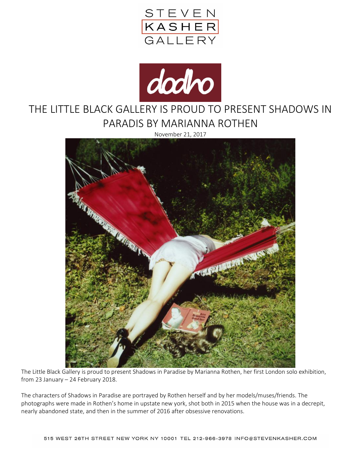



## THE LITTLE BLACK GALLERY IS PROUD TO PRESENT SHADOWS IN PARADIS BY MARIANNA ROTHEN

November 21, 2017



The Little Black Gallery is proud to present Shadows in Paradise by Marianna Rothen, her first London solo exhibition, from 23 January – 24 February 2018.

The characters of Shadows in Paradise are portrayed by Rothen herself and by her models/muses/friends. The photographs were made in Rothen's home in upstate new york, shot both in 2015 when the house was in a decrepit, nearly abandoned state, and then in the summer of 2016 after obsessive renovations.